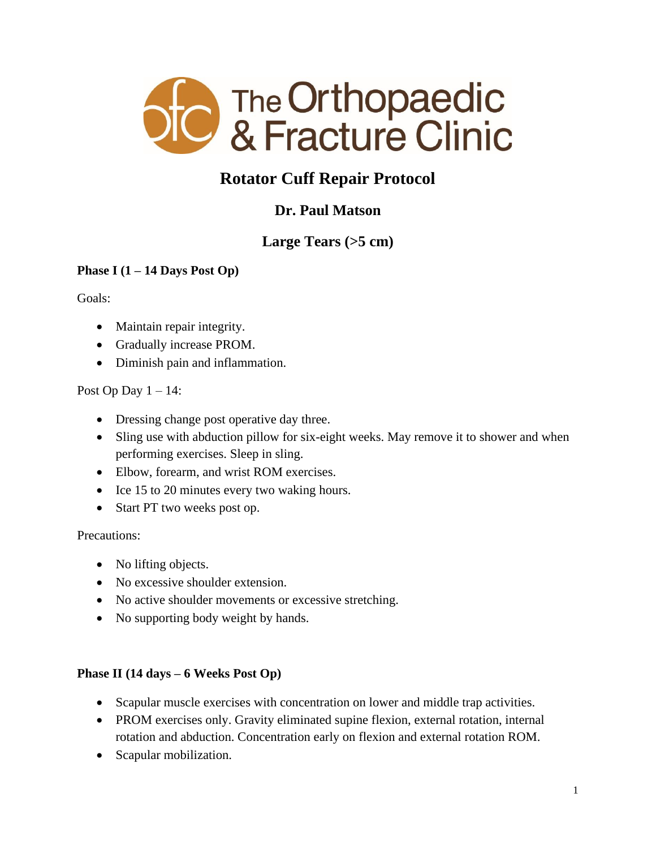

# **Rotator Cuff Repair Protocol**

## **Dr. Paul Matson**

## **Large Tears (>5 cm)**

## **Phase I (1 – 14 Days Post Op)**

Goals:

- Maintain repair integrity.
- Gradually increase PROM.
- Diminish pain and inflammation.

## Post Op Day  $1 - 14$ :

- Dressing change post operative day three.
- Sling use with abduction pillow for six-eight weeks. May remove it to shower and when performing exercises. Sleep in sling.
- Elbow, forearm, and wrist ROM exercises.
- Ice 15 to 20 minutes every two waking hours.
- Start PT two weeks post op.

## Precautions:

- No lifting objects.
- No excessive shoulder extension.
- No active shoulder movements or excessive stretching.
- No supporting body weight by hands.

## **Phase II (14 days – 6 Weeks Post Op)**

- Scapular muscle exercises with concentration on lower and middle trap activities.
- PROM exercises only. Gravity eliminated supine flexion, external rotation, internal rotation and abduction. Concentration early on flexion and external rotation ROM.
- Scapular mobilization.